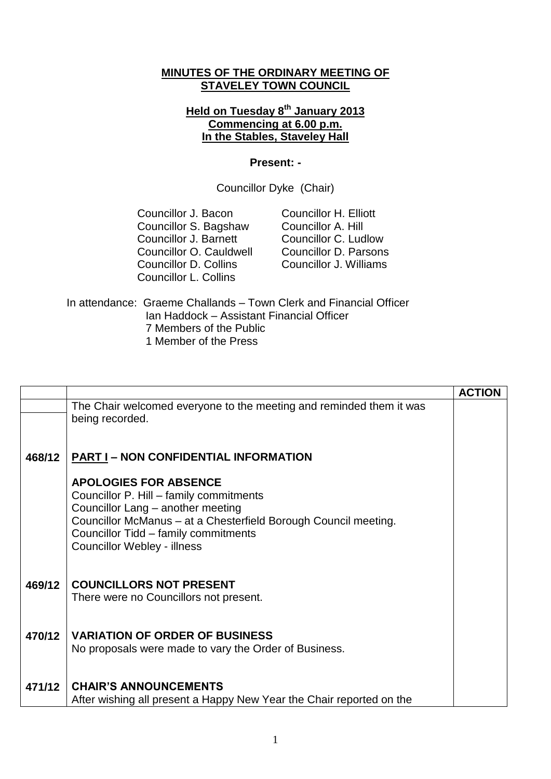## **MINUTES OF THE ORDINARY MEETING OF STAVELEY TOWN COUNCIL**

## **Held on Tuesday 8 th January 2013 Commencing at 6.00 p.m. In the Stables, Staveley Hall**

## **Present: -**

Councillor Dyke (Chair)

Councillor J. Bacon Councillor S. Bagshaw Councillor J. Barnett Councillor O. Cauldwell Councillor D. Collins Councillor L. Collins

Councillor H. Elliott Councillor A. Hill Councillor C. Ludlow Councillor D. Parsons Councillor J. Williams

In attendance: Graeme Challands – Town Clerk and Financial Officer Ian Haddock – Assistant Financial Officer 7 Members of the Public 1 Member of the Press

|        |                                                                                                                                                                                                                                                               | <b>ACTION</b> |
|--------|---------------------------------------------------------------------------------------------------------------------------------------------------------------------------------------------------------------------------------------------------------------|---------------|
|        | The Chair welcomed everyone to the meeting and reminded them it was<br>being recorded.                                                                                                                                                                        |               |
| 468/12 | <b>PART I - NON CONFIDENTIAL INFORMATION</b>                                                                                                                                                                                                                  |               |
|        | <b>APOLOGIES FOR ABSENCE</b><br>Councillor P. Hill - family commitments<br>Councillor Lang - another meeting<br>Councillor McManus - at a Chesterfield Borough Council meeting.<br>Councillor Tidd - family commitments<br><b>Councillor Webley - illness</b> |               |
| 469/12 | <b>COUNCILLORS NOT PRESENT</b><br>There were no Councillors not present.                                                                                                                                                                                      |               |
| 470/12 | <b>VARIATION OF ORDER OF BUSINESS</b><br>No proposals were made to vary the Order of Business.                                                                                                                                                                |               |
| 471/12 | <b>CHAIR'S ANNOUNCEMENTS</b><br>After wishing all present a Happy New Year the Chair reported on the                                                                                                                                                          |               |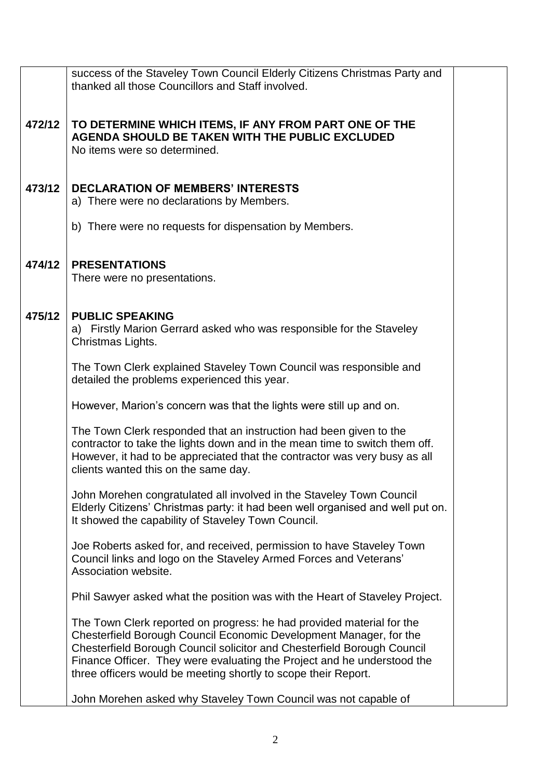|        | success of the Staveley Town Council Elderly Citizens Christmas Party and<br>thanked all those Councillors and Staff involved.                                                                                                                                                                                                                                      |  |  |  |  |
|--------|---------------------------------------------------------------------------------------------------------------------------------------------------------------------------------------------------------------------------------------------------------------------------------------------------------------------------------------------------------------------|--|--|--|--|
| 472/12 | TO DETERMINE WHICH ITEMS, IF ANY FROM PART ONE OF THE<br>AGENDA SHOULD BE TAKEN WITH THE PUBLIC EXCLUDED<br>No items were so determined.                                                                                                                                                                                                                            |  |  |  |  |
| 473/12 | <b>DECLARATION OF MEMBERS' INTERESTS</b><br>a) There were no declarations by Members.                                                                                                                                                                                                                                                                               |  |  |  |  |
|        | b) There were no requests for dispensation by Members.                                                                                                                                                                                                                                                                                                              |  |  |  |  |
| 474/12 | <b>PRESENTATIONS</b><br>There were no presentations.                                                                                                                                                                                                                                                                                                                |  |  |  |  |
| 475/12 | <b>PUBLIC SPEAKING</b><br>a) Firstly Marion Gerrard asked who was responsible for the Staveley<br>Christmas Lights.                                                                                                                                                                                                                                                 |  |  |  |  |
|        | The Town Clerk explained Staveley Town Council was responsible and<br>detailed the problems experienced this year.                                                                                                                                                                                                                                                  |  |  |  |  |
|        | However, Marion's concern was that the lights were still up and on.                                                                                                                                                                                                                                                                                                 |  |  |  |  |
|        | The Town Clerk responded that an instruction had been given to the<br>contractor to take the lights down and in the mean time to switch them off.<br>However, it had to be appreciated that the contractor was very busy as all<br>clients wanted this on the same day.                                                                                             |  |  |  |  |
|        | John Morehen congratulated all involved in the Staveley Town Council<br>Elderly Citizens' Christmas party: it had been well organised and well put on.<br>It showed the capability of Staveley Town Council.                                                                                                                                                        |  |  |  |  |
|        | Joe Roberts asked for, and received, permission to have Staveley Town<br>Council links and logo on the Staveley Armed Forces and Veterans'<br>Association website.                                                                                                                                                                                                  |  |  |  |  |
|        | Phil Sawyer asked what the position was with the Heart of Staveley Project.                                                                                                                                                                                                                                                                                         |  |  |  |  |
|        | The Town Clerk reported on progress: he had provided material for the<br>Chesterfield Borough Council Economic Development Manager, for the<br>Chesterfield Borough Council solicitor and Chesterfield Borough Council<br>Finance Officer. They were evaluating the Project and he understood the<br>three officers would be meeting shortly to scope their Report. |  |  |  |  |
|        | John Morehen asked why Staveley Town Council was not capable of                                                                                                                                                                                                                                                                                                     |  |  |  |  |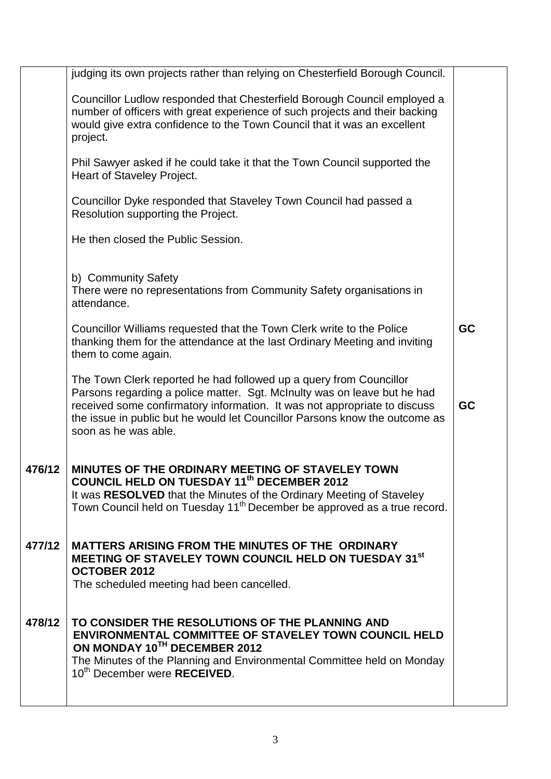|        | judging its own projects rather than relying on Chesterfield Borough Council.                                                                                                                                                                                                                                                      |           |
|--------|------------------------------------------------------------------------------------------------------------------------------------------------------------------------------------------------------------------------------------------------------------------------------------------------------------------------------------|-----------|
|        | Councillor Ludlow responded that Chesterfield Borough Council employed a<br>number of officers with great experience of such projects and their backing<br>would give extra confidence to the Town Council that it was an excellent<br>project.                                                                                    |           |
|        | Phil Sawyer asked if he could take it that the Town Council supported the<br>Heart of Staveley Project.                                                                                                                                                                                                                            |           |
|        | Councillor Dyke responded that Staveley Town Council had passed a<br>Resolution supporting the Project.                                                                                                                                                                                                                            |           |
|        | He then closed the Public Session.                                                                                                                                                                                                                                                                                                 |           |
|        | b) Community Safety<br>There were no representations from Community Safety organisations in<br>attendance.                                                                                                                                                                                                                         |           |
|        | Councillor Williams requested that the Town Clerk write to the Police<br>thanking them for the attendance at the last Ordinary Meeting and inviting<br>them to come again.                                                                                                                                                         | <b>GC</b> |
|        | The Town Clerk reported he had followed up a query from Councillor<br>Parsons regarding a police matter. Sgt. McInulty was on leave but he had<br>received some confirmatory information. It was not appropriate to discuss<br>the issue in public but he would let Councillor Parsons know the outcome as<br>soon as he was able. | <b>GC</b> |
| 476/12 | MINUTES OF THE ORDINARY MEETING OF STAVELEY TOWN<br><b>COUNCIL HELD ON TUESDAY 11th DECEMBER 2012</b><br>It was RESOLVED that the Minutes of the Ordinary Meeting of Staveley<br>Town Council held on Tuesday 11 <sup>th</sup> December be approved as a true record.                                                              |           |
| 477/12 | <b>MATTERS ARISING FROM THE MINUTES OF THE ORDINARY</b><br>MEETING OF STAVELEY TOWN COUNCIL HELD ON TUESDAY 31 <sup>st</sup><br><b>OCTOBER 2012</b><br>The scheduled meeting had been cancelled.                                                                                                                                   |           |
| 478/12 | TO CONSIDER THE RESOLUTIONS OF THE PLANNING AND<br><b>ENVIRONMENTAL COMMITTEE OF STAVELEY TOWN COUNCIL HELD</b><br>ON MONDAY 10TH DECEMBER 2012<br>The Minutes of the Planning and Environmental Committee held on Monday<br>10 <sup>th</sup> December were <b>RECEIVED</b> .                                                      |           |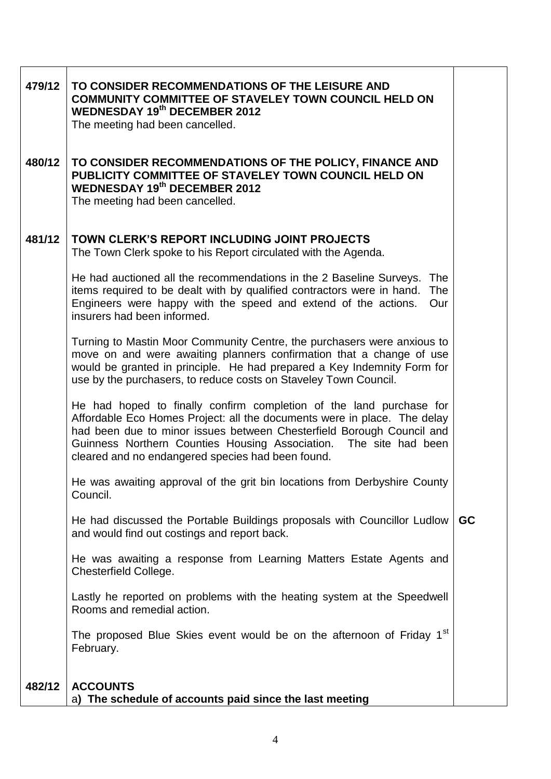| 479/12 | TO CONSIDER RECOMMENDATIONS OF THE LEISURE AND<br><b>COMMUNITY COMMITTEE OF STAVELEY TOWN COUNCIL HELD ON</b><br><b>WEDNESDAY 19th DECEMBER 2012</b><br>The meeting had been cancelled.                                                                                                                                                            |           |
|--------|----------------------------------------------------------------------------------------------------------------------------------------------------------------------------------------------------------------------------------------------------------------------------------------------------------------------------------------------------|-----------|
| 480/12 | TO CONSIDER RECOMMENDATIONS OF THE POLICY, FINANCE AND<br>PUBLICITY COMMITTEE OF STAVELEY TOWN COUNCIL HELD ON<br><b>WEDNESDAY 19th DECEMBER 2012</b><br>The meeting had been cancelled.                                                                                                                                                           |           |
| 481/12 | TOWN CLERK'S REPORT INCLUDING JOINT PROJECTS<br>The Town Clerk spoke to his Report circulated with the Agenda.                                                                                                                                                                                                                                     |           |
|        | He had auctioned all the recommendations in the 2 Baseline Surveys. The<br>items required to be dealt with by qualified contractors were in hand.<br>The<br>Engineers were happy with the speed and extend of the actions.<br>Our<br>insurers had been informed.                                                                                   |           |
|        | Turning to Mastin Moor Community Centre, the purchasers were anxious to<br>move on and were awaiting planners confirmation that a change of use<br>would be granted in principle. He had prepared a Key Indemnity Form for<br>use by the purchasers, to reduce costs on Staveley Town Council.                                                     |           |
|        | He had hoped to finally confirm completion of the land purchase for<br>Affordable Eco Homes Project: all the documents were in place. The delay<br>had been due to minor issues between Chesterfield Borough Council and<br>Guinness Northern Counties Housing Association. The site had been<br>cleared and no endangered species had been found. |           |
|        | He was awaiting approval of the grit bin locations from Derbyshire County<br>Council.                                                                                                                                                                                                                                                              |           |
|        | He had discussed the Portable Buildings proposals with Councillor Ludlow<br>and would find out costings and report back.                                                                                                                                                                                                                           | <b>GC</b> |
|        | He was awaiting a response from Learning Matters Estate Agents and<br>Chesterfield College.                                                                                                                                                                                                                                                        |           |
|        | Lastly he reported on problems with the heating system at the Speedwell<br>Rooms and remedial action.                                                                                                                                                                                                                                              |           |
|        | The proposed Blue Skies event would be on the afternoon of Friday 1 <sup>st</sup><br>February.                                                                                                                                                                                                                                                     |           |
| 482/12 | <b>ACCOUNTS</b><br>The schedule of accounts paid since the last meeting<br>a)                                                                                                                                                                                                                                                                      |           |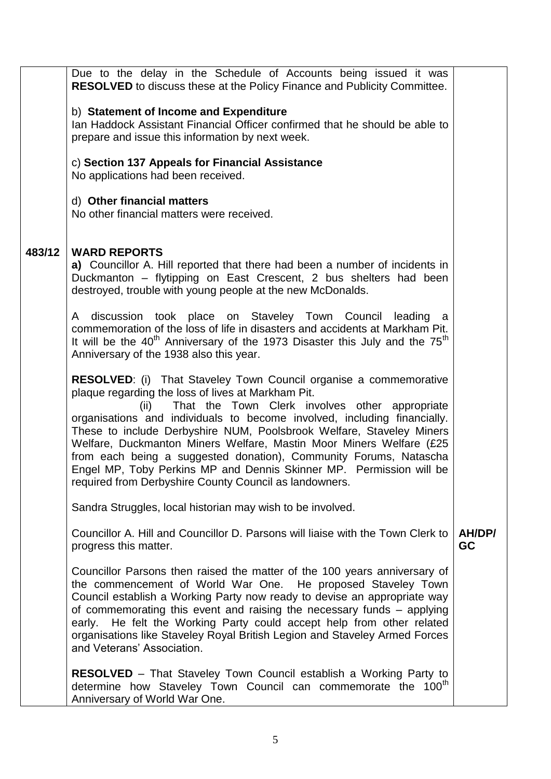|        | Due to the delay in the Schedule of Accounts being issued it was                                                                                 |           |  |  |
|--------|--------------------------------------------------------------------------------------------------------------------------------------------------|-----------|--|--|
|        | <b>RESOLVED</b> to discuss these at the Policy Finance and Publicity Committee.                                                                  |           |  |  |
|        |                                                                                                                                                  |           |  |  |
|        | b) Statement of Income and Expenditure                                                                                                           |           |  |  |
|        | Ian Haddock Assistant Financial Officer confirmed that he should be able to                                                                      |           |  |  |
|        | prepare and issue this information by next week.                                                                                                 |           |  |  |
|        | c) Section 137 Appeals for Financial Assistance                                                                                                  |           |  |  |
|        | No applications had been received.                                                                                                               |           |  |  |
|        |                                                                                                                                                  |           |  |  |
|        | d) Other financial matters                                                                                                                       |           |  |  |
|        | No other financial matters were received.                                                                                                        |           |  |  |
|        |                                                                                                                                                  |           |  |  |
|        |                                                                                                                                                  |           |  |  |
| 483/12 | <b>WARD REPORTS</b>                                                                                                                              |           |  |  |
|        | a) Councillor A. Hill reported that there had been a number of incidents in<br>Duckmanton - flytipping on East Crescent, 2 bus shelters had been |           |  |  |
|        | destroyed, trouble with young people at the new McDonalds.                                                                                       |           |  |  |
|        |                                                                                                                                                  |           |  |  |
|        | discussion took place on Staveley Town Council leading a<br>A                                                                                    |           |  |  |
|        | commemoration of the loss of life in disasters and accidents at Markham Pit.                                                                     |           |  |  |
|        | It will be the $40^{\text{th}}$ Anniversary of the 1973 Disaster this July and the $75^{\text{th}}$                                              |           |  |  |
|        | Anniversary of the 1938 also this year.                                                                                                          |           |  |  |
|        | <b>RESOLVED:</b> (i) That Staveley Town Council organise a commemorative                                                                         |           |  |  |
|        | plaque regarding the loss of lives at Markham Pit.                                                                                               |           |  |  |
|        | That the Town Clerk involves other appropriate<br>(ii)                                                                                           |           |  |  |
|        | organisations and individuals to become involved, including financially.                                                                         |           |  |  |
|        | These to include Derbyshire NUM, Poolsbrook Welfare, Staveley Miners                                                                             |           |  |  |
|        | Welfare, Duckmanton Miners Welfare, Mastin Moor Miners Welfare (£25                                                                              |           |  |  |
|        | from each being a suggested donation), Community Forums, Natascha                                                                                |           |  |  |
|        | Engel MP, Toby Perkins MP and Dennis Skinner MP. Permission will be                                                                              |           |  |  |
|        | required from Derbyshire County Council as landowners.                                                                                           |           |  |  |
|        | Sandra Struggles, local historian may wish to be involved.                                                                                       |           |  |  |
|        | Councillor A. Hill and Councillor D. Parsons will liaise with the Town Clerk to                                                                  | AH/DP/    |  |  |
|        | progress this matter.                                                                                                                            | <b>GC</b> |  |  |
|        |                                                                                                                                                  |           |  |  |
|        | Councillor Parsons then raised the matter of the 100 years anniversary of                                                                        |           |  |  |
|        | the commencement of World War One. He proposed Staveley Town                                                                                     |           |  |  |
|        | Council establish a Working Party now ready to devise an appropriate way                                                                         |           |  |  |
|        | of commemorating this event and raising the necessary funds – applying<br>early. He felt the Working Party could accept help from other related  |           |  |  |
|        | organisations like Staveley Royal British Legion and Staveley Armed Forces                                                                       |           |  |  |
|        | and Veterans' Association.                                                                                                                       |           |  |  |
|        |                                                                                                                                                  |           |  |  |
|        | <b>RESOLVED</b> – That Staveley Town Council establish a Working Party to                                                                        |           |  |  |
|        | determine how Staveley Town Council can commemorate the 100 <sup>th</sup>                                                                        |           |  |  |
|        | Anniversary of World War One.                                                                                                                    |           |  |  |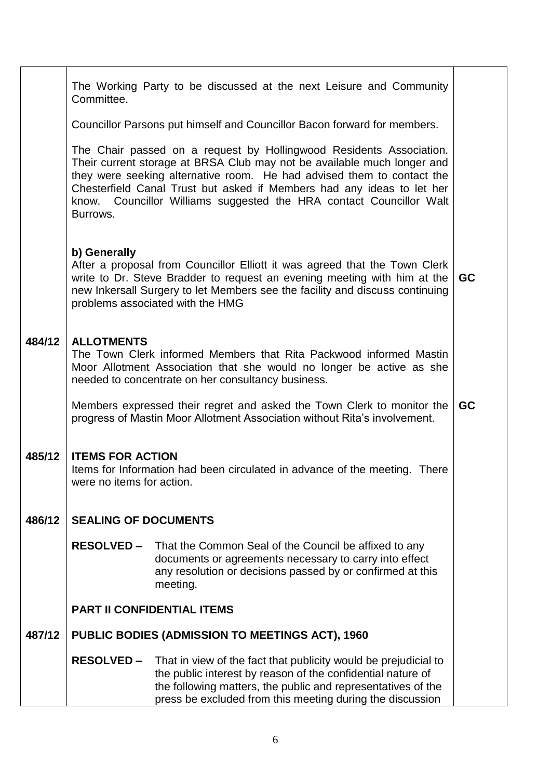|        | The Working Party to be discussed at the next Leisure and Community<br>Committee.                                                                                                                                                                                                          |                                                                                                                                                                                                                                                                                                                                                                           |  |  |
|--------|--------------------------------------------------------------------------------------------------------------------------------------------------------------------------------------------------------------------------------------------------------------------------------------------|---------------------------------------------------------------------------------------------------------------------------------------------------------------------------------------------------------------------------------------------------------------------------------------------------------------------------------------------------------------------------|--|--|
|        | Councillor Parsons put himself and Councillor Bacon forward for members.                                                                                                                                                                                                                   |                                                                                                                                                                                                                                                                                                                                                                           |  |  |
|        | Burrows.                                                                                                                                                                                                                                                                                   | The Chair passed on a request by Hollingwood Residents Association.<br>Their current storage at BRSA Club may not be available much longer and<br>they were seeking alternative room. He had advised them to contact the<br>Chesterfield Canal Trust but asked if Members had any ideas to let her<br>know. Councillor Williams suggested the HRA contact Councillor Walt |  |  |
|        | b) Generally<br>After a proposal from Councillor Elliott it was agreed that the Town Clerk<br>write to Dr. Steve Bradder to request an evening meeting with him at the<br>new Inkersall Surgery to let Members see the facility and discuss continuing<br>problems associated with the HMG |                                                                                                                                                                                                                                                                                                                                                                           |  |  |
| 484/12 | <b>ALLOTMENTS</b><br>The Town Clerk informed Members that Rita Packwood informed Mastin<br>Moor Allotment Association that she would no longer be active as she<br>needed to concentrate on her consultancy business.                                                                      |                                                                                                                                                                                                                                                                                                                                                                           |  |  |
|        | Members expressed their regret and asked the Town Clerk to monitor the<br><b>GC</b><br>progress of Mastin Moor Allotment Association without Rita's involvement.                                                                                                                           |                                                                                                                                                                                                                                                                                                                                                                           |  |  |
| 485/12 | <b>ITEMS FOR ACTION</b><br>Items for Information had been circulated in advance of the meeting. There<br>were no items for action.                                                                                                                                                         |                                                                                                                                                                                                                                                                                                                                                                           |  |  |
| 486/12 | <b>SEALING OF DOCUMENTS</b>                                                                                                                                                                                                                                                                |                                                                                                                                                                                                                                                                                                                                                                           |  |  |
|        | <b>RESOLVED –</b>                                                                                                                                                                                                                                                                          | That the Common Seal of the Council be affixed to any<br>documents or agreements necessary to carry into effect<br>any resolution or decisions passed by or confirmed at this<br>meeting.                                                                                                                                                                                 |  |  |
|        | <b>PART II CONFIDENTIAL ITEMS</b>                                                                                                                                                                                                                                                          |                                                                                                                                                                                                                                                                                                                                                                           |  |  |
| 487/12 |                                                                                                                                                                                                                                                                                            | <b>PUBLIC BODIES (ADMISSION TO MEETINGS ACT), 1960</b>                                                                                                                                                                                                                                                                                                                    |  |  |
|        | <b>RESOLVED –</b>                                                                                                                                                                                                                                                                          | That in view of the fact that publicity would be prejudicial to<br>the public interest by reason of the confidential nature of<br>the following matters, the public and representatives of the<br>press be excluded from this meeting during the discussion                                                                                                               |  |  |